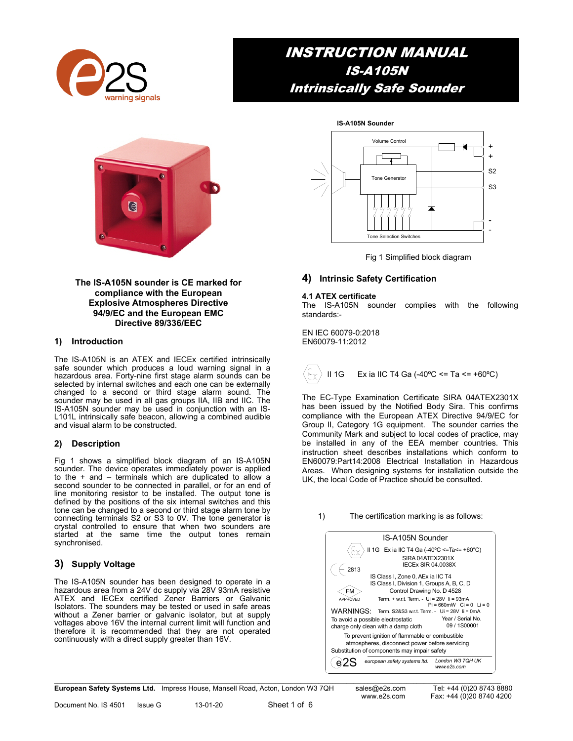

## INSTRUCTION MANUAL IS-A105N Intrinsically Safe Sounder



#### **The IS-A105N sounder is CE marked for compliance with the European Explosive Atmospheres Directive 94/9/EC and the European EMC Directive 89/336/EEC**

#### **1) Introduction**

The IS-A105N is an ATEX and IECEx certified intrinsically safe sounder which produces a loud warning signal in a hazardous area. Forty-nine first stage alarm sounds can be selected by internal switches and each one can be externally changed to a second or third stage alarm sound. The sounder may be used in all gas groups IIA, IIB and IIC. The IS-A105N sounder may be used in conjunction with an IS-L101L intrinsically safe beacon, allowing a combined audible and visual alarm to be constructed.

#### **2) Description**

Fig 1 shows a simplified block diagram of an IS-A105N sounder. The device operates immediately power is applied to the  $+$  and  $-$  terminals which are duplicated to allow a second sounder to be connected in parallel, or for an end of line monitoring resistor to be installed. The output tone is defined by the positions of the six internal switches and this tone can be changed to a second or third stage alarm tone by connecting terminals S2 or S3 to 0V. The tone generator is crystal controlled to ensure that when two sounders are started at the same time the output tones remain synchronised.

### **3) Supply Voltage**

The IS-A105N sounder has been designed to operate in a hazardous area from a 24V dc supply via 28V 93mA resistive ATEX and IECEx certified Zener Barriers or Galvanic Isolators. The sounders may be tested or used in safe areas without a Zener barrier or galvanic isolator, but at supply voltages above 16V the internal current limit will function and therefore it is recommended that they are not operated continuously with a direct supply greater than 16V.



Fig 1 Simplified block diagram

#### **4) Intrinsic Safety Certification**

#### **4.1 ATEX certificate**

The IS-A105N sounder complies with the following standards:-

EN IEC 60079-0:2018 EN60079-11:2012



The EC-Type Examination Certificate SIRA 04ATEX2301X has been issued by the Notified Body Sira. This confirms compliance with the European ATEX Directive 94/9/EC for Group II, Category 1G equipment. The sounder carries the Community Mark and subject to local codes of practice, may be installed in any of the EEA member countries. This instruction sheet describes installations which conform to EN60079:Part14:2008 Electrical Installation in Hazardous Areas. When designing systems for installation outside the UK, the local Code of Practice should be consulted.

#### 1) The certification marking is as follows:



**European Safety Systems Ltd.** Impress House, Mansell Road, Acton, London W3 7QH sales@e2s.com Tel: +44 (0)20 8743 8880

Document No. IS 4501 Issue G 13-01-20 Sheet 1 of 6

www.e2s.com Fax: +44 (0)20 8740 4200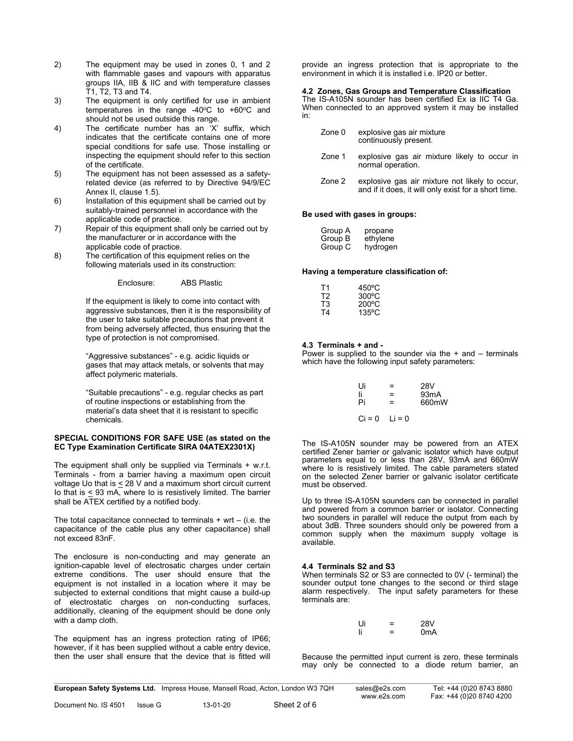- 2) The equipment may be used in zones 0, 1 and 2 with flammable gases and vapours with apparatus groups IIA, IIB & IIC and with temperature classes T1, T2, T3 and T4.
- 3) The equipment is only certified for use in ambient temperatures in the range  $-40^{\circ}$ C to  $+60^{\circ}$ C and should not be used outside this range.
- 4) The certificate number has an 'X' suffix, which indicates that the certificate contains one of more special conditions for safe use. Those installing or inspecting the equipment should refer to this section of the certificate.
- 5) The equipment has not been assessed as a safetyrelated device (as referred to by Directive 94/9/EC Annex II, clause 1.5).
- 6) Installation of this equipment shall be carried out by suitably-trained personnel in accordance with the applicable code of practice.
- 7) Repair of this equipment shall only be carried out by the manufacturer or in accordance with the applicable code of practice.
- 8) The certification of this equipment relies on the following materials used in its construction:

Enclosure: ABS Plastic

If the equipment is likely to come into contact with aggressive substances, then it is the responsibility of the user to take suitable precautions that prevent it from being adversely affected, thus ensuring that the type of protection is not compromised.

"Aggressive substances" - e.g. acidic liquids or gases that may attack metals, or solvents that may affect polymeric materials.

"Suitable precautions" - e.g. regular checks as part of routine inspections or establishing from the material's data sheet that it is resistant to specific chemicals.

#### **SPECIAL CONDITIONS FOR SAFE USE (as stated on the EC Type Examination Certificate SIRA 04ATEX2301X)**

The equipment shall only be supplied via Terminals + w.r.t. Terminals - from a barrier having a maximum open circuit voltage Uo that is  $\leq$  28 V and a maximum short circuit current Io that is  $\leq$  93 mA, where Io is resistively limited. The barrier shall be ATEX certified by a notified body.

The total capacitance connected to terminals  $+$  wrt  $-$  (i.e. the capacitance of the cable plus any other capacitance) shall not exceed 83nF.

The enclosure is non-conducting and may generate an ignition-capable level of electrosatic charges under certain extreme conditions. The user should ensure that the equipment is not installed in a location where it may be subjected to external conditions that might cause a build-up of electrostatic charges on non-conducting surfaces, additionally, cleaning of the equipment should be done only with a damp cloth.

The equipment has an ingress protection rating of IP66; however, if it has been supplied without a cable entry device, then the user shall ensure that the device that is fitted will

provide an ingress protection that is appropriate to the environment in which it is installed i.e. IP20 or better.

#### **4.2 Zones, Gas Groups and Temperature Classification**

The IS-A105N sounder has been certified Ex ia IIC T4 Ga. When connected to an approved system it may be installed in:

| Zone 0 | explosive gas air mixture |
|--------|---------------------------|
|        | continuously present.     |

- Zone 1 explosive gas air mixture likely to occur in normal operation.
- Zone 2 explosive gas air mixture not likely to occur, and if it does, it will only exist for a short time.

#### **Be used with gases in groups:**

| Group A | propane  |
|---------|----------|
| Group B | ethylene |
| Group C | hydrogen |

#### **Having a temperature classification of:**

| Τ1 | $450^{\circ}$ C |
|----|-----------------|
| T2 | $300^{\circ}$ C |
| T3 | $200^{\circ}$ C |
| T4 | 135°C           |

#### **4.3 Terminals + and -**

Power is supplied to the sounder via the  $+$  and  $-$  terminals which have the following input safety parameters:

| Ui                | $=$ | 28V               |
|-------------------|-----|-------------------|
| li                | $=$ | 93 <sub>m</sub> A |
| Pi                | $=$ | 660mW             |
| $Ci = 0$ $Li = 0$ |     |                   |

The IS-A105N sounder may be powered from an ATEX certified Zener barrier or galvanic isolator which have output parameters equal to or less than 28V, 93mA and 660mW where Io is resistively limited. The cable parameters stated on the selected Zener barrier or galvanic isolator certificate must be observed.

Up to three IS-A105N sounders can be connected in parallel and powered from a common barrier or isolator. Connecting two sounders in parallel will reduce the output from each by about 3dB. Three sounders should only be powered from a common supply when the maximum supply voltage is available.

#### **4.4 Terminals S2 and S3**

When terminals S2 or S3 are connected to 0V (- terminal) the sounder output tone changes to the second or third stage alarm respectively. The input safety parameters for these terminals are:

| Ui | - | <b>28V</b>       |
|----|---|------------------|
|    | - | 0 <sub>m</sub> A |

Because the permitted input current is zero, these terminals may only be connected to a diode return barrier, an

|   | European Safety Systems Ltd. Impress House, Mansell Road, Acton, London W3 7QH |                      | sales@e2s.com<br>www.e2s.com | Tel: +44 (0)20 8743 8880 |
|---|--------------------------------------------------------------------------------|----------------------|------------------------------|--------------------------|
| . | .                                                                              | $\sim$ $\sim$ $\sim$ |                              | Fax: +44 (0)20 8740 4200 |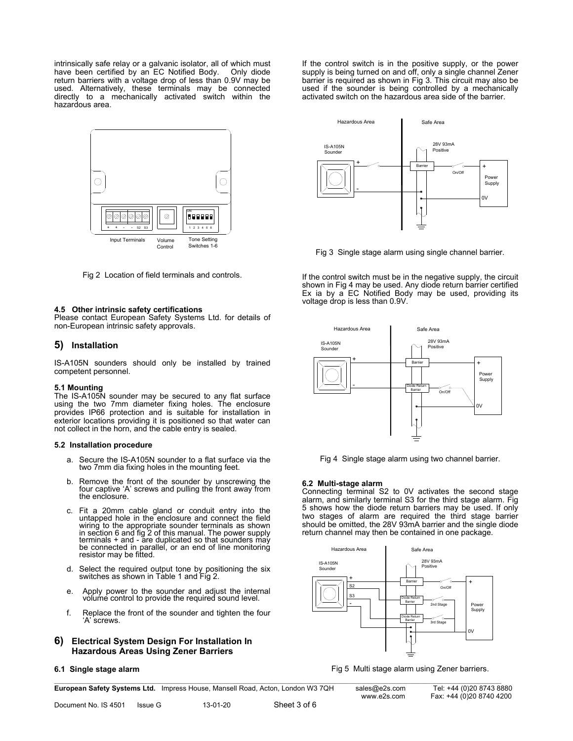intrinsically safe relay or a galvanic isolator, all of which must have been certified by an EC Notified Body. return barriers with a voltage drop of less than 0.9V may be used. Alternatively, these terminals may be connected directly to a mechanically activated switch within the hazardous area.



Fig 2 Location of field terminals and controls.

#### **4.5 Other intrinsic safety certifications**

Please contact European Safety Systems Ltd. for details of non-European intrinsic safety approvals.

#### **5) Installation**

IS-A105N sounders should only be installed by trained competent personnel.

#### **5.1 Mounting**

The IS-A105N sounder may be secured to any flat surface using the two 7mm diameter fixing holes. The enclosure provides IP66 protection and is suitable for installation in exterior locations providing it is positioned so that water can not collect in the horn, and the cable entry is sealed.

#### **5.2 Installation procedure**

- a. Secure the IS-A105N sounder to a flat surface via the two 7mm dia fixing holes in the mounting feet.
- b. Remove the front of the sounder by unscrewing the four captive 'A' screws and pulling the front away from the enclosure.
- c. Fit a 20mm cable gland or conduit entry into the untapped hole in the enclosure and connect the field wiring to the appropriate sounder terminals as shown in section 6 and fig 2 of this manual. The power supply terminals + and - are duplicated so that sounders may be connected in parallel, or an end of line monitoring resistor may be fitted.
- d. Select the required output tone by positioning the six switches as shown in Table 1 and Fig 2.
- e. Apply power to the sounder and adjust the internal volume control to provide the required sound level.
- f. Replace the front of the sounder and tighten the four 'A' screws.
- **6) Electrical System Design For Installation In Hazardous Areas Using Zener Barriers**

#### **6.1 Single stage alarm**

If the control switch is in the positive supply, or the power supply is being turned on and off, only a single channel Zener barrier is required as shown in Fig 3. This circuit may also be used if the sounder is being controlled by a mechanically activated switch on the hazardous area side of the barrier.



Fig 3 Single stage alarm using single channel barrier.

If the control switch must be in the negative supply, the circuit shown in Fig 4 may be used. Any diode return barrier certified Ex ia by a EC Notified Body may be used, providing its voltage drop is less than 0.9V.





#### **6.2 Multi-stage alarm**

Connecting terminal S2 to 0V activates the second stage alarm, and similarly terminal S3 for the third stage alarm. Fig 5 shows how the diode return barriers may be used. If only two stages of alarm are required the third stage barrier should be omitted, the 28V 93mA barrier and the single diode return channel may then be contained in one package.



Fig 5 Multi stage alarm using Zener barriers.

**European Safety Systems Ltd.** Impress House, Mansell Road, Acton, London W3 7QH sales@e2s.com Tel: +44 (0)20 8743 8880

 $\mathcal{L} = \{ \mathcal{L} = \{ \mathcal{L} = \{ \mathcal{L} = \{ \mathcal{L} = \{ \mathcal{L} = \{ \mathcal{L} = \{ \mathcal{L} = \{ \mathcal{L} = \{ \mathcal{L} = \{ \mathcal{L} = \{ \mathcal{L} = \{ \mathcal{L} = \{ \mathcal{L} = \{ \mathcal{L} = \{ \mathcal{L} = \{ \mathcal{L} = \{ \mathcal{L} = \{ \mathcal{L} = \{ \mathcal{L} = \{ \mathcal{L} = \{ \mathcal{L} = \{ \mathcal{L} = \{ \mathcal{L} = \{ \mathcal{$ 

www.e2s.com Fax: +44 (0)20 8740 4200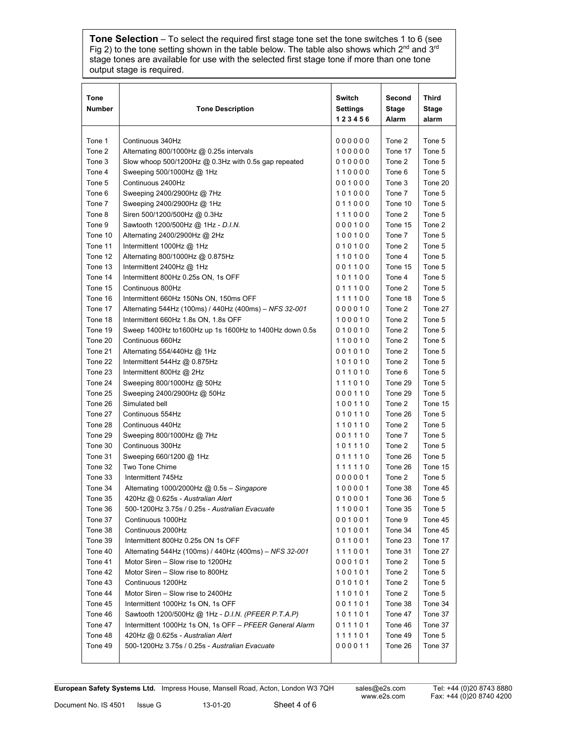**Tone Selection** – To select the required first stage tone set the tone switches 1 to 6 (see Fig 2) to the tone setting shown in the table below. The table also shows which 2<sup>nd</sup> and 3<sup>rd</sup> stage tones are available for use with the selected first stage tone if more than one tone output stage is required.

| Tone<br><b>Number</b> | <b>Tone Description</b>                                 | <b>Switch</b><br>Settings<br>123456 | Second<br>Stage<br>Alarm | Third<br><b>Stage</b><br>alarm |
|-----------------------|---------------------------------------------------------|-------------------------------------|--------------------------|--------------------------------|
| Tone 1                | Continuous 340Hz                                        | 000000                              | Tone 2                   | Tone 5                         |
| Tone 2                | Alternating 800/1000Hz @ 0.25s intervals                | 100000                              | Tone 17                  | Tone 5                         |
| Tone 3                | Slow whoop 500/1200Hz $@$ 0.3Hz with 0.5s gap repeated  | 010000                              | Tone 2                   | Tone 5                         |
| Tone 4                | Sweeping 500/1000Hz @ 1Hz                               | 110000                              | Tone 6                   | Tone 5                         |
| Tone 5                | Continuous 2400Hz                                       | 001000                              | Tone 3                   | Tone 20                        |
| Tone 6                | Sweeping 2400/2900Hz @ 7Hz                              | 101000                              | Tone 7                   | Tone 5                         |
| Tone 7                | Sweeping 2400/2900Hz @ 1Hz                              | 011000                              | Tone 10                  | Tone 5                         |
| Tone 8                | Siren 500/1200/500Hz @ 0.3Hz                            | 111000                              | Tone 2                   | Tone 5                         |
| Tone 9                | Sawtooth 1200/500Hz @ 1Hz - D.I.N.                      | 000100                              | Tone 15                  | Tone 2                         |
| Tone 10               | Alternating 2400/2900Hz @ 2Hz                           | 100100                              | Tone 7                   | Tone 5                         |
| Tone 11               | Intermittent 1000Hz $@$ 1Hz                             | 010100                              | Tone 2                   | Tone 5                         |
| Tone 12               | Alternating 800/1000Hz @ 0.875Hz                        | 110100                              | Tone 4                   | Tone 5                         |
| Tone 13               | Intermittent 2400Hz $@$ 1Hz                             | 001100                              | Tone 15                  | Tone 5                         |
| Tone 14               | Intermittent 800Hz 0.25s ON, 1s OFF                     | 101100                              | Tone 4                   | Tone 5                         |
| Tone 15               | Continuous 800Hz                                        | 011100                              | Tone 2                   | Tone 5                         |
| Tone 16               | Intermittent 660Hz 150Ns ON, 150ms OFF                  | 111100                              | Tone 18                  | Tone 5                         |
| Tone 17               | Alternating 544Hz (100ms) / 440Hz (400ms) - NFS 32-001  | 000010                              | Tone 2                   | Tone 27                        |
| Tone 18               | Intermittent 660Hz 1.8s ON, 1.8s OFF                    | 100010                              | Tone 2                   | Tone 5                         |
| Tone 19               | Sweep 1400Hz to1600Hz up 1s 1600Hz to 1400Hz down 0.5s  | 010010                              | Tone 2                   | Tone 5                         |
| Tone 20               | Continuous 660Hz                                        | 110010                              | Tone 2                   | Tone 5                         |
| Tone 21               | Alternating 554/440Hz @ 1Hz                             | 001010                              | Tone 2                   | Tone 5                         |
| Tone 22               | Intermittent 544Hz @ 0.875Hz                            | 101010                              | Tone 2                   | Tone 5                         |
| Tone 23               | Intermittent 800Hz $@$ 2Hz                              | 011010                              | Tone 6                   | Tone 5                         |
| Tone 24               | Sweeping 800/1000Hz @ 50Hz                              | 111010                              | Tone 29                  | Tone 5                         |
| Tone 25               | Sweeping 2400/2900Hz @ 50Hz                             | 000110                              | Tone 29                  | Tone 5                         |
| Tone 26               | Simulated bell                                          | 100110                              | Tone 2                   | Tone 15                        |
| Tone 27               | Continuous 554Hz                                        | 010110                              | Tone 26                  | Tone 5                         |
| Tone 28               | Continuous 440Hz                                        | 110110                              | Tone 2                   | Tone 5                         |
| Tone 29               | Sweeping 800/1000Hz @ 7Hz                               | 001110                              | Tone 7                   | Tone 5                         |
| Tone 30               | Continuous 300Hz                                        | 101110                              | Tone 2                   | Tone 5                         |
| Tone 31               | Sweeping 660/1200 @ 1Hz                                 | 011110                              | Tone 26                  | Tone 5                         |
| Tone 32               | Two Tone Chime                                          | 111110                              | Tone 26                  | Tone 15                        |
| Tone 33               | Intermittent 745Hz                                      | 000001                              | Tone 2                   | Tone 5                         |
| Tone 34               | Alternating 1000/2000Hz $@$ 0.5s - Singapore            | 100001                              | Tone 38                  | Tone 45                        |
| Tone 35               | 420Hz @ 0.625s - Australian Alert                       | 010001                              | Tone 36                  | Tone 5                         |
| Tone 36               | 500-1200Hz 3.75s / 0.25s - Australian Evacuate          | 110001                              | Tone 35                  | Tone 5                         |
| Tone 37               | Continuous 1000Hz                                       | 001001                              | Tone 9                   | Tone 45                        |
| Tone 38               | Continuous 2000Hz                                       | 101001                              | Tone 34                  | Tone 45                        |
| Tone 39               | Intermittent 800Hz 0.25s ON 1s OFF                      | 011001                              | Tone 23                  | Tone 17                        |
| Tone 40               | Alternating 544Hz (100ms) / 440Hz (400ms) - NFS 32-001  | 111001                              | Tone 31                  | Tone 27                        |
| Tone 41               | Motor Siren - Slow rise to 1200Hz                       | 000101                              | Tone 2                   | Tone 5                         |
| Tone 42               | Motor Siren - Slow rise to 800Hz                        | 100101                              | Tone 2                   | Tone 5                         |
| Tone 43               | Continuous 1200Hz                                       | 010101                              | Tone 2                   | Tone 5                         |
| Tone 44               | Motor Siren - Slow rise to 2400Hz                       | 110101                              | Tone 2                   | Tone 5                         |
| Tone 45               | Intermittent 1000Hz 1s ON, 1s OFF                       | 001101                              | Tone 38                  | Tone 34                        |
| Tone 46               | Sawtooth 1200/500Hz @ 1Hz - D.I.N. (PFEER P.T.A.P)      | 101101                              | Tone 47                  | Tone 37                        |
| Tone 47               | Intermittent 1000Hz 1s ON, 1s OFF - PFEER General Alarm | 011101                              | Tone 46                  | Tone 37                        |
| Tone 48               | 420Hz @ 0.625s - Australian Alert                       | 111101                              | Tone 49                  | Tone 5                         |
| Tone 49               | 500-1200Hz 3.75s / 0.25s - Australian Evacuate          | 000011                              | Tone 26                  | Tone 37                        |
|                       |                                                         |                                     |                          |                                |

 $\mathcal{L} = \{ \mathcal{L} = \{ \mathcal{L} = \{ \mathcal{L} = \{ \mathcal{L} = \{ \mathcal{L} = \{ \mathcal{L} = \{ \mathcal{L} = \{ \mathcal{L} = \{ \mathcal{L} = \{ \mathcal{L} = \{ \mathcal{L} = \{ \mathcal{L} = \{ \mathcal{L} = \{ \mathcal{L} = \{ \mathcal{L} = \{ \mathcal{L} = \{ \mathcal{L} = \{ \mathcal{L} = \{ \mathcal{L} = \{ \mathcal{L} = \{ \mathcal{L} = \{ \mathcal{L} = \{ \mathcal{L} = \{ \mathcal{$ **European Safety Systems Ltd.** Impress House, Mansell Road, Acton, London W3 7QH sales@e2s.com Tel: +44 (0)20 8743 8880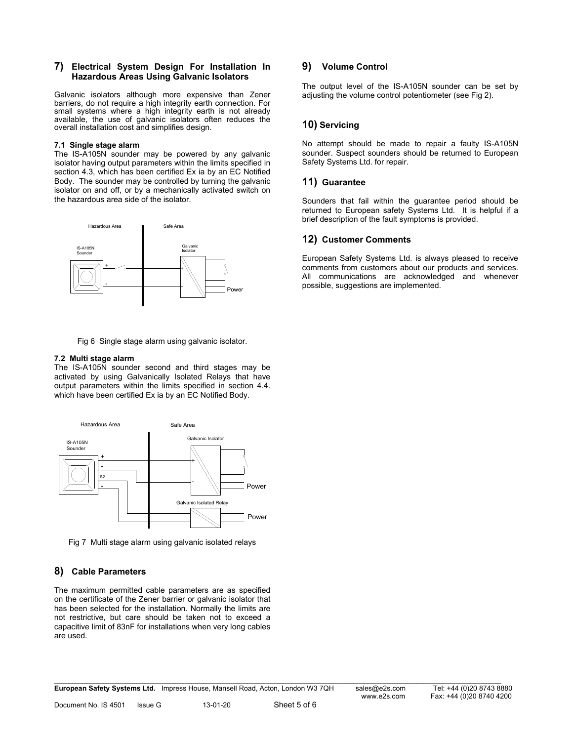#### **7) Electrical System Design For Installation In Hazardous Areas Using Galvanic Isolators**

Galvanic isolators although more expensive than Zener barriers, do not require a high integrity earth connection. For small systems where a high integrity earth is not already available, the use of galvanic isolators often reduces the overall installation cost and simplifies design.

#### **7.1 Single stage alarm**

The IS-A105N sounder may be powered by any galvanic isolator having output parameters within the limits specified in section 4.3, which has been certified Ex ia by an EC Notified Body. The sounder may be controlled by turning the galvanic isolator on and off, or by a mechanically activated switch on the hazardous area side of the isolator.



Fig 6 Single stage alarm using galvanic isolator.

#### **7.2 Multi stage alarm**

The IS-A105N sounder second and third stages may be activated by using Galvanically Isolated Relays that have output parameters within the limits specified in section 4.4. which have been certified Ex ia by an EC Notified Body.



Fig 7 Multi stage alarm using galvanic isolated relays

### **8) Cable Parameters**

The maximum permitted cable parameters are as specified on the certificate of the Zener barrier or galvanic isolator that has been selected for the installation. Normally the limits are not restrictive, but care should be taken not to exceed a capacitive limit of 83nF for installations when very long cables are used.

#### **9) Volume Control**

The output level of the IS-A105N sounder can be set by adjusting the volume control potentiometer (see Fig 2).

### **10) Servicing**

No attempt should be made to repair a faulty IS-A105N sounder. Suspect sounders should be returned to European Safety Systems Ltd. for repair.

#### **11) Guarantee**

Sounders that fail within the guarantee period should be returned to European safety Systems Ltd. It is helpful if a brief description of the fault symptoms is provided.

#### **12) Customer Comments**

European Safety Systems Ltd. is always pleased to receive comments from customers about our products and services. All communications are acknowledged and whenever possible, suggestions are implemented.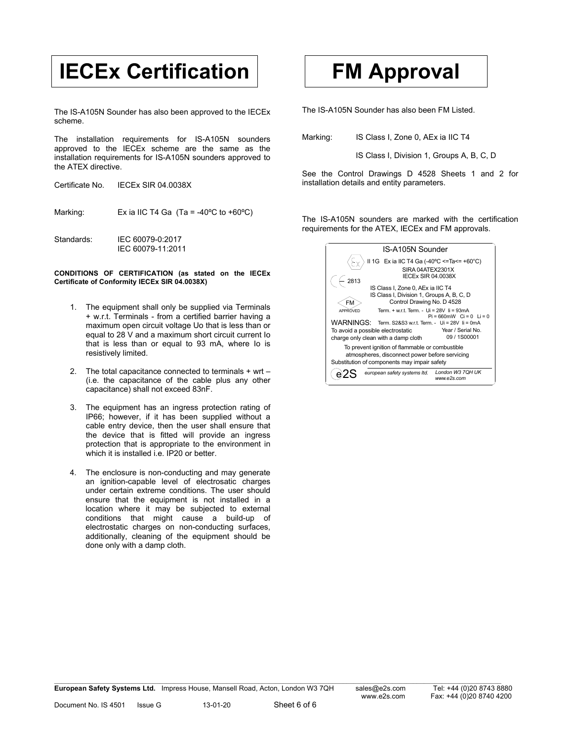# **IECEx Certification FM Approval**

The IS-A105N Sounder has also been approved to the IECEx scheme.

The installation requirements for IS-A105N sounders approved to the IECEx scheme are the same as the installation requirements for IS-A105N sounders approved to the ATEX directive.

| Certificate No. | <b>IECEX SIR 04.0038X</b> |
|-----------------|---------------------------|
|                 |                           |

Marking: Ex ia IIC T4 Ga (Ta = -40°C to +60°C)

Standards: IEC 60079-0:2017 IEC 60079-11:2011

#### **CONDITIONS OF CERTIFICATION (as stated on the IECEx Certificate of Conformity IECEx SIR 04.0038X)**

- 1. The equipment shall only be supplied via Terminals + w.r.t. Terminals - from a certified barrier having a maximum open circuit voltage Uo that is less than or equal to 28 V and a maximum short circuit current Io that is less than or equal to 93 mA, where Io is resistively limited.
- 2. The total capacitance connected to terminals + wrt (i.e. the capacitance of the cable plus any other capacitance) shall not exceed 83nF.
- 3. The equipment has an ingress protection rating of IP66; however, if it has been supplied without a cable entry device, then the user shall ensure that the device that is fitted will provide an ingress protection that is appropriate to the environment in which it is installed i.e. IP20 or better.
- 4. The enclosure is non-conducting and may generate an ignition-capable level of electrosatic charges under certain extreme conditions. The user should ensure that the equipment is not installed in a location where it may be subjected to external conditions that might cause a build-up of electrostatic charges on non-conducting surfaces, additionally, cleaning of the equipment should be done only with a damp cloth.

The IS-A105N Sounder has also been FM Listed.

Marking: IS Class I, Zone 0, AEx ia IIC T4

IS Class I, Division 1, Groups A, B, C, D

See the Control Drawings D 4528 Sheets 1 and 2 for installation details and entity parameters.

The IS-A105N sounders are marked with the certification requirements for the ATEX, IECEx and FM approvals.

| IS-A105N Sounder                                                                    |  |  |  |
|-------------------------------------------------------------------------------------|--|--|--|
| II 1G Ex ia IIC T4 Ga (-40°C <=Ta<= +60°C)                                          |  |  |  |
| SIRA 04ATEX2301X<br><b>IECEX SIR 04.0038X</b><br>2813                               |  |  |  |
| IS Class I, Zone 0, AEx ia IIC T4                                                   |  |  |  |
| IS Class I, Division 1, Groups A, B, C, D                                           |  |  |  |
| Control Drawing No. D 4528<br>FM                                                    |  |  |  |
| Term. + w.r.t. Term. - Ui = 28V li = 93mA<br>APPROVED<br>$Pi = 660mW$ Ci = 0 Li = 0 |  |  |  |
| WARNINGS:<br>Term. S2&S3 w.r.t. Term. - Ui = 28V li = 0mA                           |  |  |  |
| Year / Serial No.<br>To avoid a possible electrostatic                              |  |  |  |
| 09 / 1S00001<br>charge only clean with a damp cloth                                 |  |  |  |
| To prevent ignition of flammable or combustible                                     |  |  |  |
| atmospheres, disconnect power before servicing                                      |  |  |  |
| Substitution of components may impair safety                                        |  |  |  |
| London W3 7QH UK<br>european safety systems Itd.<br>www.e2s.com                     |  |  |  |
|                                                                                     |  |  |  |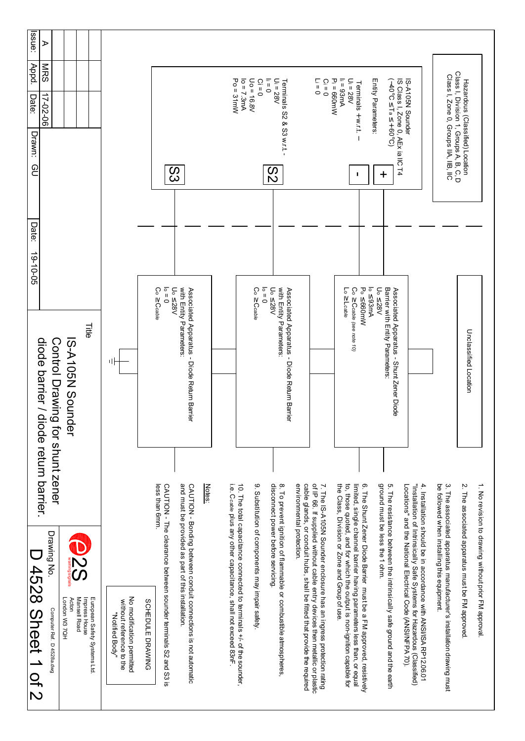